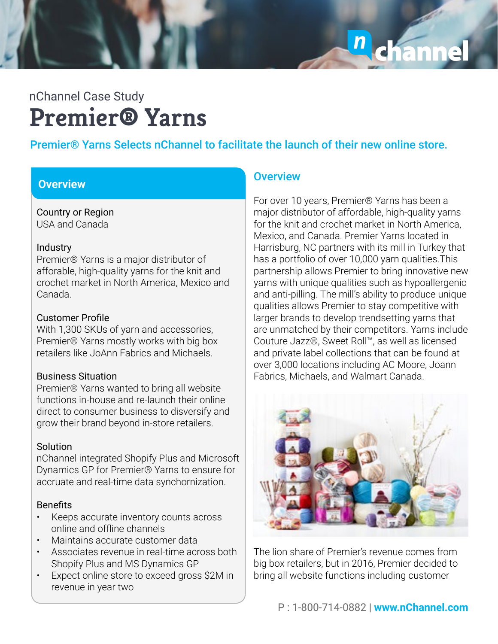n chann

# **Premier® Yarns** nChannel Case Study

# Premier® Yarns Selects nChannel to facilitate the launch of their new online store.

### **Overview Overview** Overview

Country or Region USA and Canada

### Industry

Premier® Yarns is a major distributor of afforable, high-quality yarns for the knit and crochet market in North America, Mexico and Canada.

## Customer Profile

With 1,300 SKUs of yarn and accessories, Premier® Yarns mostly works with big box retailers like JoAnn Fabrics and Michaels.

### Business Situation

Premier® Yarns wanted to bring all website functions in-house and re-launch their online direct to consumer business to disversify and grow their brand beyond in-store retailers.

# Solution

nChannel integrated Shopify Plus and Microsoft Dynamics GP for Premier® Yarns to ensure for accruate and real-time data synchornization.

# Benefits

- Keeps accurate inventory counts across online and offline channels
- Maintains accurate customer data
- Associates revenue in real-time across both Shopify Plus and MS Dynamics GP
- Expect online store to exceed gross \$2M in revenue in year two

For over 10 years, Premier® Yarns has been a major distributor of affordable, high-quality yarns for the knit and crochet market in North America, Mexico, and Canada. Premier Yarns located in Harrisburg, NC partners with its mill in Turkey that has a portfolio of over 10,000 yarn qualities.This partnership allows Premier to bring innovative new yarns with unique qualities such as hypoallergenic and anti-pilling. The mill's ability to produce unique qualities allows Premier to stay competitive with larger brands to develop trendsetting yarns that are unmatched by their competitors. Yarns include Couture Jazz®, Sweet Roll™, as well as licensed and private label collections that can be found at over 3,000 locations including AC Moore, Joann Fabrics, Michaels, and Walmart Canada.



The lion share of Premier's revenue comes from big box retailers, but in 2016, Premier decided to bring all website functions including customer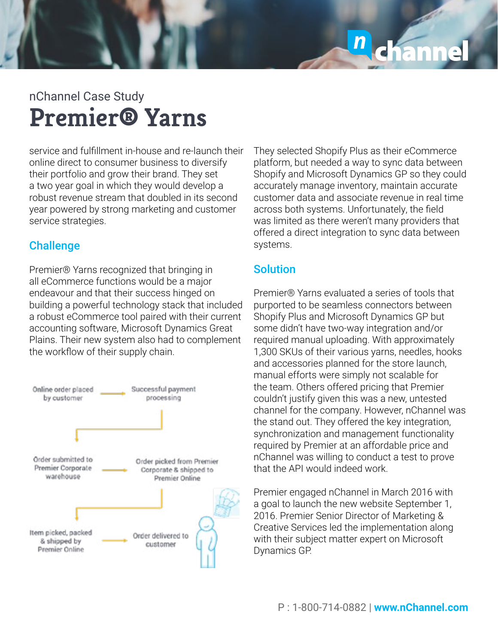

# **Premier® Yarns** nChannel Case Study

service and fulfillment in-house and re-launch their online direct to consumer business to diversify their portfolio and grow their brand. They set a two year goal in which they would develop a robust revenue stream that doubled in its second year powered by strong marketing and customer service strategies.

# **Challenge**

Premier® Yarns recognized that bringing in all eCommerce functions would be a major endeavour and that their success hinged on building a powerful technology stack that included a robust eCommerce tool paired with their current accounting software, Microsoft Dynamics Great Plains. Their new system also had to complement the workflow of their supply chain.



They selected Shopify Plus as their eCommerce platform, but needed a way to sync data between Shopify and Microsoft Dynamics GP so they could accurately manage inventory, maintain accurate customer data and associate revenue in real time across both systems. Unfortunately, the field was limited as there weren't many providers that offered a direct integration to sync data between systems.

# Solution

Premier® Yarns evaluated a series of tools that purported to be seamless connectors between Shopify Plus and Microsoft Dynamics GP but some didn't have two-way integration and/or required manual uploading. With approximately 1,300 SKUs of their various yarns, needles, hooks and accessories planned for the store launch, manual efforts were simply not scalable for the team. Others offered pricing that Premier couldn't justify given this was a new, untested channel for the company. However, nChannel was the stand out. They offered the key integration, synchronization and management functionality required by Premier at an affordable price and nChannel was willing to conduct a test to prove that the API would indeed work.

Premier engaged nChannel in March 2016 with a goal to launch the new website September 1, 2016. Premier Senior Director of Marketing & Creative Services led the implementation along with their subject matter expert on Microsoft Dynamics GP.